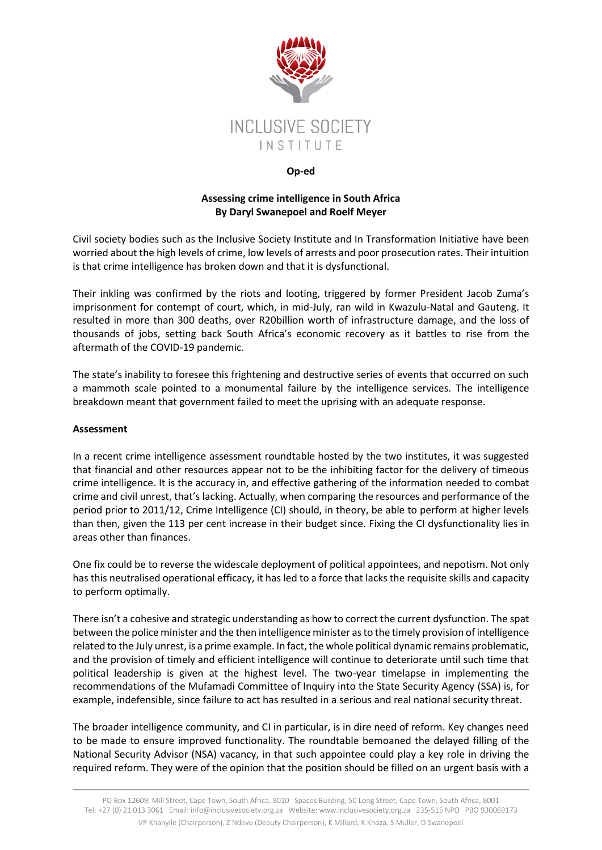

## **Op-ed**

## **Assessing crime intelligence in South Africa By Daryl Swanepoel and Roelf Meyer**

Civil society bodies such as the Inclusive Society Institute and In Transformation Initiative have been worried about the high levels of crime, low levels of arrests and poor prosecution rates. Their intuition is that crime intelligence has broken down and that it is dysfunctional.

Their inkling was confirmed by the riots and looting, triggered by former President Jacob Zuma's imprisonment for contempt of court, which, in mid-July, ran wild in Kwazulu-Natal and Gauteng. It resulted in more than 300 deaths, over R20billion worth of infrastructure damage, and the loss of thousands of jobs, setting back South Africa's economic recovery as it battles to rise from the aftermath of the COVID-19 pandemic.

The state's inability to foresee this frightening and destructive series of events that occurred on such a mammoth scale pointed to a monumental failure by the intelligence services. The intelligence breakdown meant that government failed to meet the uprising with an adequate response.

## **Assessment**

In a recent crime intelligence assessment roundtable hosted by the two institutes, it was suggested that financial and other resources appear not to be the inhibiting factor for the delivery of timeous crime intelligence. It is the accuracy in, and effective gathering of the information needed to combat crime and civil unrest, that's lacking. Actually, when comparing the resources and performance of the period prior to 2011/12, Crime Intelligence (CI) should, in theory, be able to perform at higher levels than then, given the 113 per cent increase in their budget since. Fixing the CI dysfunctionality lies in areas other than finances.

One fix could be to reverse the widescale deployment of political appointees, and nepotism. Not only has this neutralised operational efficacy, it has led to a force that lacks the requisite skills and capacity to perform optimally.

There isn't a cohesive and strategic understanding as how to correct the current dysfunction. The spat between the police minister and the then intelligence minister as to the timely provision of intelligence related to the July unrest, is a prime example. In fact, the whole political dynamic remains problematic, and the provision of timely and efficient intelligence will continue to deteriorate until such time that political leadership is given at the highest level. The two-year timelapse in implementing the recommendations of the Mufamadi Committee of Inquiry into the State Security Agency (SSA) is, for example, indefensible, since failure to act has resulted in a serious and real national security threat.

The broader intelligence community, and CI in particular, is in dire need of reform. Key changes need to be made to ensure improved functionality. The roundtable bemoaned the delayed filling of the National Security Advisor (NSA) vacancy, in that such appointee could play a key role in driving the required reform. They were of the opinion that the position should be filled on an urgent basis with a